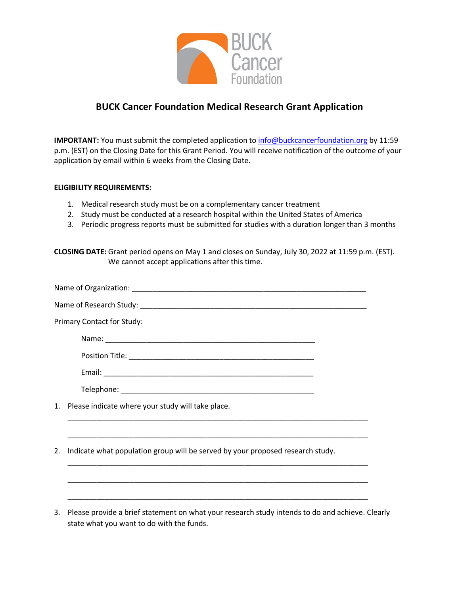

## **BUCK Cancer Foundation Medical Research Grant Application**

**IMPORTANT:** You must submit the completed application to *info@buckcancerfoundation.org* by 11:59 p.m. (EST) on the Closing Date for this Grant Period. You will receive notification of the outcome of your application by email within 6 weeks from the Closing Date.

## **ELIGIBILITY REQUIREMENTS:**

- 1. Medical research study must be on a complementary cancer treatment
- 2. Study must be conducted at a research hospital within the United States of America
- 3. Periodic progress reports must be submitted for studies with a duration longer than 3 months

**CLOSING DATE:** Grant period opens on May 1 and closes on Sunday, July 30, 2022 at 11:59 p.m. (EST). We cannot accept applications after this time.

| Primary Contact for Study:                                                           |  |  |
|--------------------------------------------------------------------------------------|--|--|
|                                                                                      |  |  |
|                                                                                      |  |  |
|                                                                                      |  |  |
|                                                                                      |  |  |
| 1. Please indicate where your study will take place.                                 |  |  |
|                                                                                      |  |  |
| Indicate what population group will be served by your proposed research study.<br>2. |  |  |
|                                                                                      |  |  |
|                                                                                      |  |  |
|                                                                                      |  |  |

3. Please provide a brief statement on what your research study intends to do and achieve. Clearly state what you want to do with the funds.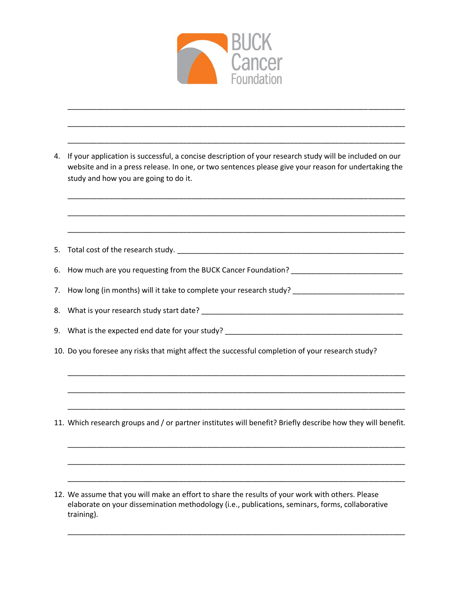

\_\_\_\_\_\_\_\_\_\_\_\_\_\_\_\_\_\_\_\_\_\_\_\_\_\_\_\_\_\_\_\_\_\_\_\_\_\_\_\_\_\_\_\_\_\_\_\_\_\_\_\_\_\_\_\_\_\_\_\_\_\_\_\_\_\_\_\_\_\_\_\_\_\_\_\_\_\_\_\_\_\_

\_\_\_\_\_\_\_\_\_\_\_\_\_\_\_\_\_\_\_\_\_\_\_\_\_\_\_\_\_\_\_\_\_\_\_\_\_\_\_\_\_\_\_\_\_\_\_\_\_\_\_\_\_\_\_\_\_\_\_\_\_\_\_\_\_\_\_\_\_\_\_\_\_\_\_\_\_\_\_\_\_\_

\_\_\_\_\_\_\_\_\_\_\_\_\_\_\_\_\_\_\_\_\_\_\_\_\_\_\_\_\_\_\_\_\_\_\_\_\_\_\_\_\_\_\_\_\_\_\_\_\_\_\_\_\_\_\_\_\_\_\_\_\_\_\_\_\_\_\_\_\_\_\_\_\_\_\_\_\_\_\_\_\_\_

\_\_\_\_\_\_\_\_\_\_\_\_\_\_\_\_\_\_\_\_\_\_\_\_\_\_\_\_\_\_\_\_\_\_\_\_\_\_\_\_\_\_\_\_\_\_\_\_\_\_\_\_\_\_\_\_\_\_\_\_\_\_\_\_\_\_\_\_\_\_\_\_\_\_\_\_\_\_\_\_\_\_

| 4. If your application is successful, a concise description of your research study will be included on our |
|------------------------------------------------------------------------------------------------------------|
| website and in a press release. In one, or two sentences please give your reason for undertaking the       |
| study and how you are going to do it.                                                                      |

| 6. How much are you requesting from the BUCK Cancer Foundation? ___________________________________         |
|-------------------------------------------------------------------------------------------------------------|
| 7. How long (in months) will it take to complete your research study? _____________________________         |
|                                                                                                             |
|                                                                                                             |
| 10. Do you foresee any risks that might affect the successful completion of your research study?            |
|                                                                                                             |
|                                                                                                             |
|                                                                                                             |
| 11. Which research groups and / or partner institutes will benefit? Briefly describe how they will benefit. |
|                                                                                                             |
|                                                                                                             |
| 12. We assume that you will make an effort to share the results of your work with others. Please            |
| elaborate on your dissemination methodology (i.e., publications, seminars, forms, collaborative             |

\_\_\_\_\_\_\_\_\_\_\_\_\_\_\_\_\_\_\_\_\_\_\_\_\_\_\_\_\_\_\_\_\_\_\_\_\_\_\_\_\_\_\_\_\_\_\_\_\_\_\_\_\_\_\_\_\_\_\_\_\_\_\_\_\_\_\_\_\_\_\_\_\_\_\_\_\_\_\_\_\_\_

training).